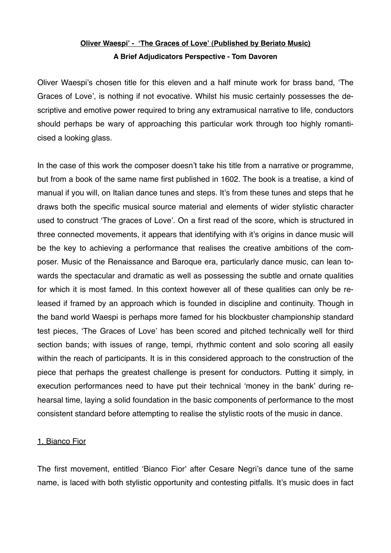## **Oliver Waespi' - ʻThe Graces of Love' (Published by Beriato Music) A Brief Adjudicators Perspective - Tom Davoren**

Oliver Waespi's chosen title for this eleven and a half minute work for brass band, ʻThe Graces of Love', is nothing if not evocative. Whilst his music certainly possesses the descriptive and emotive power required to bring any extramusical narrative to life, conductors should perhaps be wary of approaching this particular work through too highly romanticised a looking glass.

In the case of this work the composer doesn't take his title from a narrative or programme, but from a book of the same name first published in 1602. The book is a treatise, a kind of manual if you will, on Italian dance tunes and steps. It's from these tunes and steps that he draws both the specific musical source material and elements of wider stylistic character used to construct ʻThe graces of Love'. On a first read of the score, which is structured in three connected movements, it appears that identifying with it's origins in dance music will be the key to achieving a performance that realises the creative ambitions of the composer. Music of the Renaissance and Baroque era, particularly dance music, can lean towards the spectacular and dramatic as well as possessing the subtle and ornate qualities for which it is most famed. In this context however all of these qualities can only be released if framed by an approach which is founded in discipline and continuity. Though in the band world Waespi is perhaps more famed for his blockbuster championship standard test pieces, ʻThe Graces of Love' has been scored and pitched technically well for third section bands; with issues of range, tempi, rhythmic content and solo scoring all easily within the reach of participants. It is in this considered approach to the construction of the piece that perhaps the greatest challenge is present for conductors. Putting it simply, in execution performances need to have put their technical ʻmoney in the bank' during rehearsal time, laying a solid foundation in the basic components of performance to the most consistent standard before attempting to realise the stylistic roots of the music in dance.

## 1. Bianco Fior

The first movement, entitled ʻBianco Fior' after Cesare Negri's dance tune of the same name, is laced with both stylistic opportunity and contesting pitfalls. It's music does in fact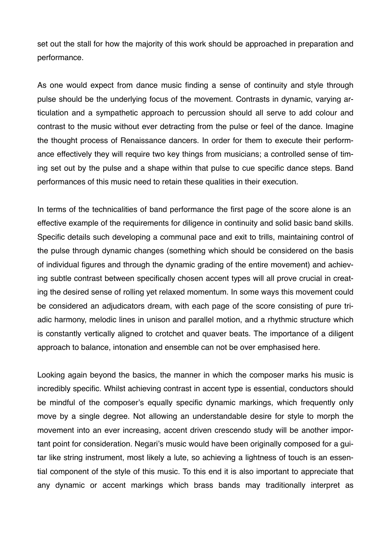set out the stall for how the majority of this work should be approached in preparation and performance.

As one would expect from dance music finding a sense of continuity and style through pulse should be the underlying focus of the movement. Contrasts in dynamic, varying articulation and a sympathetic approach to percussion should all serve to add colour and contrast to the music without ever detracting from the pulse or feel of the dance. Imagine the thought process of Renaissance dancers. In order for them to execute their performance effectively they will require two key things from musicians; a controlled sense of timing set out by the pulse and a shape within that pulse to cue specific dance steps. Band performances of this music need to retain these qualities in their execution.

In terms of the technicalities of band performance the first page of the score alone is an effective example of the requirements for diligence in continuity and solid basic band skills. Specific details such developing a communal pace and exit to trills, maintaining control of the pulse through dynamic changes (something which should be considered on the basis of individual figures and through the dynamic grading of the entire movement) and achieving subtle contrast between specifically chosen accent types will all prove crucial in creating the desired sense of rolling yet relaxed momentum. In some ways this movement could be considered an adjudicators dream, with each page of the score consisting of pure triadic harmony, melodic lines in unison and parallel motion, and a rhythmic structure which is constantly vertically aligned to crotchet and quaver beats. The importance of a diligent approach to balance, intonation and ensemble can not be over emphasised here.

Looking again beyond the basics, the manner in which the composer marks his music is incredibly specific. Whilst achieving contrast in accent type is essential, conductors should be mindful of the composer's equally specific dynamic markings, which frequently only move by a single degree. Not allowing an understandable desire for style to morph the movement into an ever increasing, accent driven crescendo study will be another important point for consideration. Negari's music would have been originally composed for a guitar like string instrument, most likely a lute, so achieving a lightness of touch is an essential component of the style of this music. To this end it is also important to appreciate that any dynamic or accent markings which brass bands may traditionally interpret as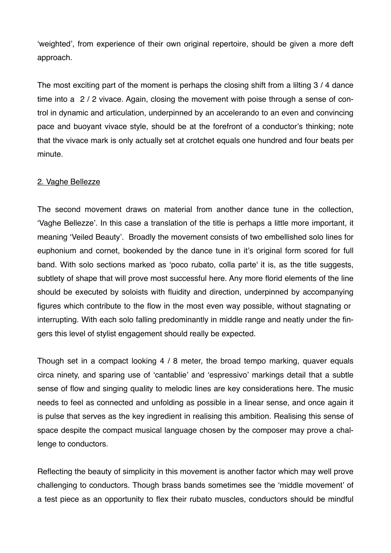ʻweighted', from experience of their own original repertoire, should be given a more deft approach.

The most exciting part of the moment is perhaps the closing shift from a lilting 3 / 4 dance time into a 2 / 2 vivace. Again, closing the movement with poise through a sense of control in dynamic and articulation, underpinned by an accelerando to an even and convincing pace and buoyant vivace style, should be at the forefront of a conductor's thinking; note that the vivace mark is only actually set at crotchet equals one hundred and four beats per minute.

## 2. Vaghe Bellezze

The second movement draws on material from another dance tune in the collection, ʻVaghe Bellezze'. In this case a translation of the title is perhaps a little more important, it meaning ʻVeiled Beauty'. Broadly the movement consists of two embellished solo lines for euphonium and cornet, bookended by the dance tune in it's original form scored for full band. With solo sections marked as ʻpoco rubato, colla parte' it is, as the title suggests, subtlety of shape that will prove most successful here. Any more florid elements of the line should be executed by soloists with fluidity and direction, underpinned by accompanying figures which contribute to the flow in the most even way possible, without stagnating or interrupting. With each solo falling predominantly in middle range and neatly under the fingers this level of stylist engagement should really be expected.

Though set in a compact looking 4 / 8 meter, the broad tempo marking, quaver equals circa ninety, and sparing use of ʻcantablie' and ʻespressivo' markings detail that a subtle sense of flow and singing quality to melodic lines are key considerations here. The music needs to feel as connected and unfolding as possible in a linear sense, and once again it is pulse that serves as the key ingredient in realising this ambition. Realising this sense of space despite the compact musical language chosen by the composer may prove a challenge to conductors.

Reflecting the beauty of simplicity in this movement is another factor which may well prove challenging to conductors. Though brass bands sometimes see the ʻmiddle movement' of a test piece as an opportunity to flex their rubato muscles, conductors should be mindful